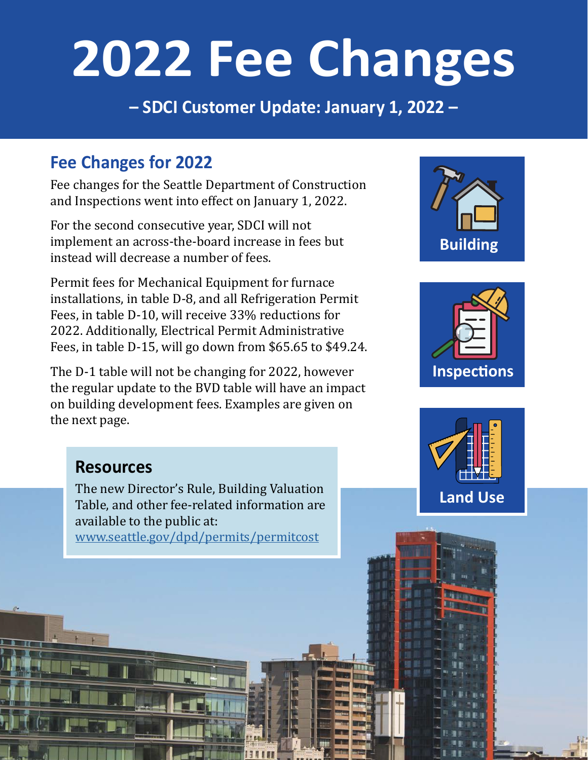# **2022 Fee Changes**

**– SDCI Customer Update: January 1, 2022 –**

#### **Fee Changes for 2022**

Fee changes for the Seattle Department of Construction and Inspections went into effect on January 1, 2022.

For the second consecutive year, SDCI will not implement an across-the-board increase in fees but instead will decrease a number of fees.

Permit fees for Mechanical Equipment for furnace installations, in table D-8, and all Refrigeration Permit Fees, in table D-10, will receive 33% reductions for 2022. Additionally, Electrical Permit Administrative Fees, in table D-15, will go down from \$65.65 to \$49.24.

The D-1 table will not be changing for 2022, however the regular update to the BVD table will have an impact on building development fees. Examples are given on the next page.

# **Building**





#### **Resources**

The new Director's Rule, Building Valuation Table, and other fee-related information are available to the public at:

[www.seattle.gov/dpd/permits/permitcost](http://www.seattle.gov/dpd/permits/permitcost )